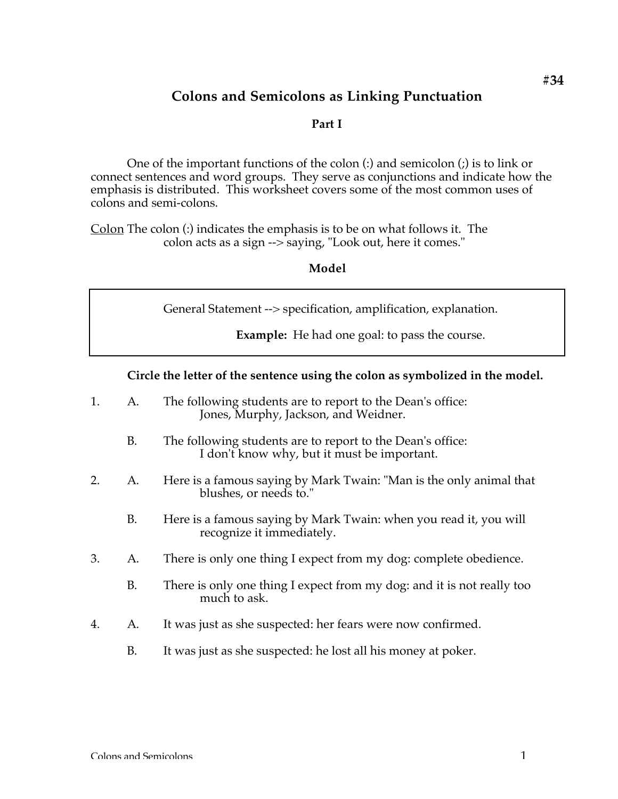# **Colons and Semicolons as Linking Punctuation**

#### **Part I**

One of the important functions of the colon (:) and semicolon (;) is to link or connect sentences and word groups. They serve as conjunctions and indicate how the emphasis is distributed. This worksheet covers some of the most common uses of colons and semi-colons.

Colon The colon (:) indicates the emphasis is to be on what follows it. The colon acts as a sign --> saying, "Look out, here it comes."

#### **Model**

General Statement --> specification, amplification, explanation.

**Example:** He had one goal: to pass the course.

#### **Circle the letter of the sentence using the colon as symbolized in the model.**

- 1. A. The following students are to report to the Dean's office: Jones, Murphy, Jackson, and Weidner.
	- B. The following students are to report to the Dean's office: I don't know why, but it must be important.
- 2. A. Here is a famous saying by Mark Twain: "Man is the only animal that blushes, or needs to."
	- B. Here is a famous saying by Mark Twain: when you read it, you will recognize it immediately.
- 3. A. There is only one thing I expect from my dog: complete obedience.
	- B. There is only one thing I expect from my dog: and it is not really too much to ask.
- 4. A. It was just as she suspected: her fears were now confirmed.
	- B. It was just as she suspected: he lost all his money at poker.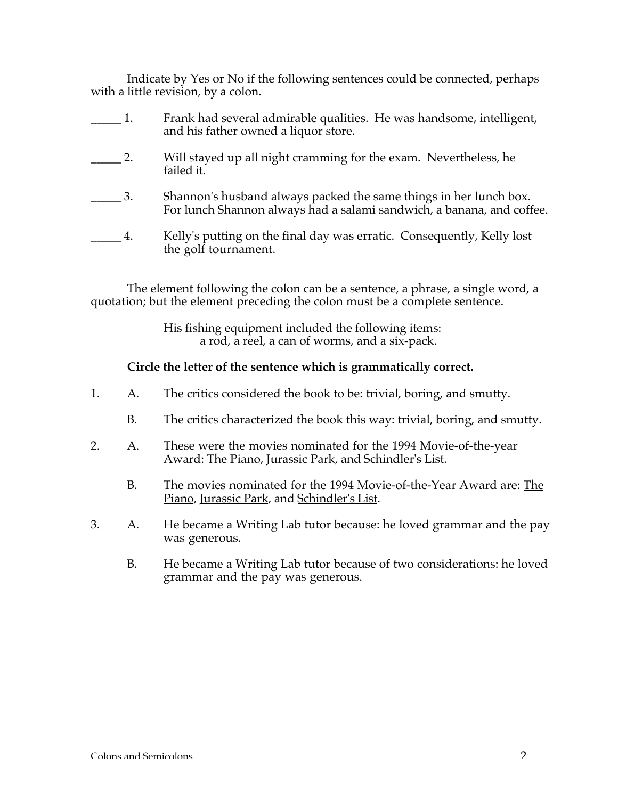Indicate by Yes or No if the following sentences could be connected, perhaps with a little revision, by a colon.

1. Frank had several admirable qualities. He was handsome, intelligent, and his father owned a liquor store. 2. Will stayed up all night cramming for the exam. Nevertheless, he failed it. \_\_\_\_\_ 3. Shannon's husband always packed the same things in her lunch box. For lunch Shannon always had a salami sandwich, a banana, and coffee. \_\_\_\_\_ 4. Kelly's putting on the final day was erratic. Consequently, Kelly lost the golf tournament.

The element following the colon can be a sentence, a phrase, a single word, a quotation; but the element preceding the colon must be a complete sentence.

> His fishing equipment included the following items: a rod, a reel, a can of worms, and a six-pack.

# **Circle the letter of the sentence which is grammatically correct.**

- 1. A. The critics considered the book to be: trivial, boring, and smutty.
	- B. The critics characterized the book this way: trivial, boring, and smutty.
- 2. A. These were the movies nominated for the 1994 Movie-of-the-year Award: The Piano, Jurassic Park, and Schindler's List.
	- B. The movies nominated for the 1994 Movie-of-the-Year Award are: The Piano, Jurassic Park, and Schindler's List.
- 3. A. He became a Writing Lab tutor because: he loved grammar and the pay was generous.
	- B. He became a Writing Lab tutor because of two considerations: he loved grammar and the pay was generous.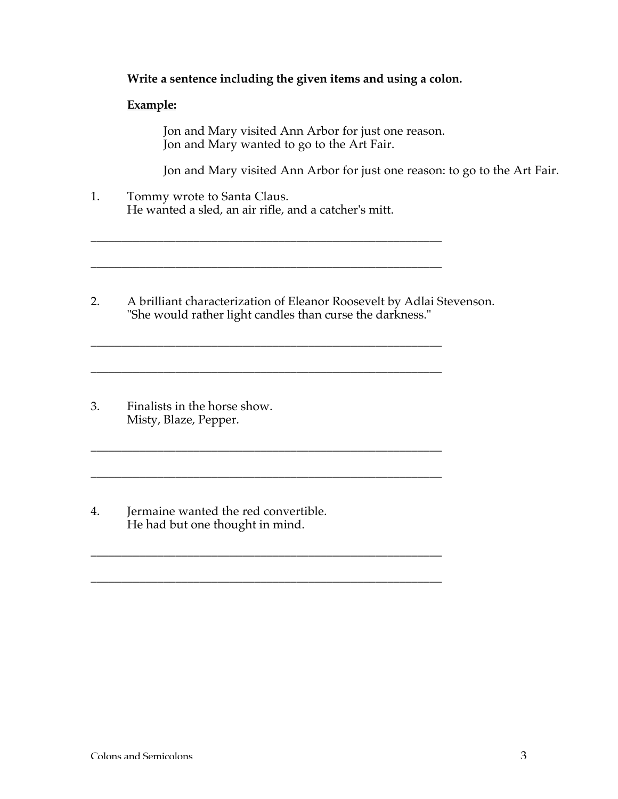## **Write a sentence including the given items and using a colon.**

#### **Example:**

Jon and Mary visited Ann Arbor for just one reason. Jon and Mary wanted to go to the Art Fair.

Jon and Mary visited Ann Arbor for just one reason: to go to the Art Fair.

1. Tommy wrote to Santa Claus. He wanted a sled, an air rifle, and a catcher's mitt.

\_\_\_\_\_\_\_\_\_\_\_\_\_\_\_\_\_\_\_\_\_\_\_\_\_\_\_\_\_\_\_\_\_\_\_\_\_\_\_\_\_\_\_\_\_\_\_\_\_\_\_\_\_\_\_\_\_\_

\_\_\_\_\_\_\_\_\_\_\_\_\_\_\_\_\_\_\_\_\_\_\_\_\_\_\_\_\_\_\_\_\_\_\_\_\_\_\_\_\_\_\_\_\_\_\_\_\_\_\_\_\_\_\_\_\_\_

\_\_\_\_\_\_\_\_\_\_\_\_\_\_\_\_\_\_\_\_\_\_\_\_\_\_\_\_\_\_\_\_\_\_\_\_\_\_\_\_\_\_\_\_\_\_\_\_\_\_\_\_\_\_\_\_\_\_

\_\_\_\_\_\_\_\_\_\_\_\_\_\_\_\_\_\_\_\_\_\_\_\_\_\_\_\_\_\_\_\_\_\_\_\_\_\_\_\_\_\_\_\_\_\_\_\_\_\_\_\_\_\_\_\_\_\_

\_\_\_\_\_\_\_\_\_\_\_\_\_\_\_\_\_\_\_\_\_\_\_\_\_\_\_\_\_\_\_\_\_\_\_\_\_\_\_\_\_\_\_\_\_\_\_\_\_\_\_\_\_\_\_\_\_\_

2. A brilliant characterization of Eleanor Roosevelt by Adlai Stevenson. "She would rather light candles than curse the darkness."

\_\_\_\_\_\_\_\_\_\_\_\_\_\_\_\_\_\_\_\_\_\_\_\_\_\_\_\_\_\_\_\_\_\_\_\_\_\_\_\_\_\_\_\_\_\_\_\_\_\_\_\_\_\_\_\_\_\_

 $\mathcal{L}_\text{max}$  and the contract of the contract of the contract of the contract of the contract of the contract of

\_\_\_\_\_\_\_\_\_\_\_\_\_\_\_\_\_\_\_\_\_\_\_\_\_\_\_\_\_\_\_\_\_\_\_\_\_\_\_\_\_\_\_\_\_\_\_\_\_\_\_\_\_\_\_\_\_\_

- 3. Finalists in the horse show. Misty, Blaze, Pepper.
- 4. Jermaine wanted the red convertible. He had but one thought in mind.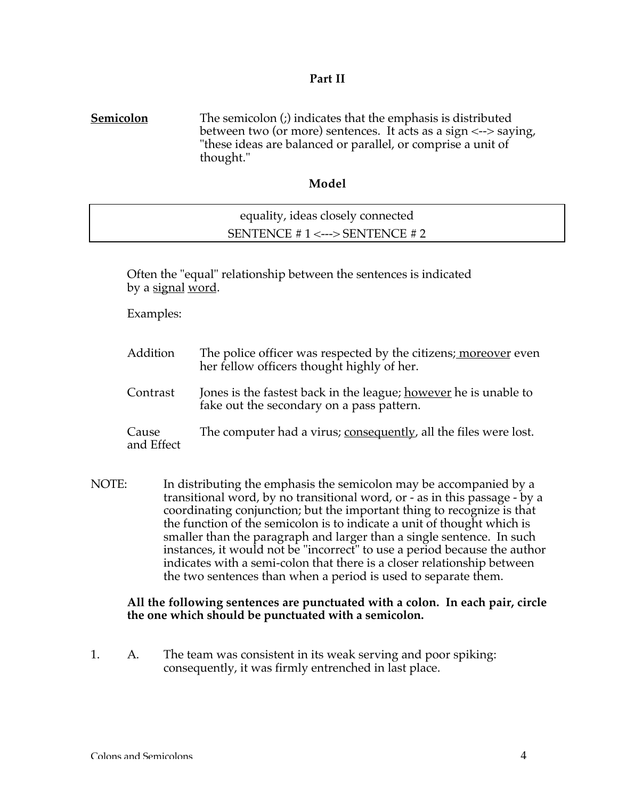## **Part II**

**Semicolon** The semicolon (;) indicates that the emphasis is distributed between two (or more) sentences. It acts as a sign <--> saying, "these ideas are balanced or parallel, or comprise a unit of thought."

## **Model**

| equality, ideas closely connected   |  |
|-------------------------------------|--|
| SENTENCE # $1 \leq -5$ SENTENCE # 2 |  |

Often the "equal" relationship between the sentences is indicated by a signal word.

Examples:

| Addition            | The police officer was respected by the citizens; moreover even<br>her fellow officers thought highly of her. |
|---------------------|---------------------------------------------------------------------------------------------------------------|
| Contrast            | Jones is the fastest back in the league; however he is unable to<br>fake out the secondary on a pass pattern. |
| Cause<br>and Effect | The computer had a virus; consequently, all the files were lost.                                              |

NOTE: In distributing the emphasis the semicolon may be accompanied by a transitional word, by no transitional word, or - as in this passage - by a coordinating conjunction; but the important thing to recognize is that the function of the semicolon is to indicate a unit of thought which is smaller than the paragraph and larger than a single sentence. In such instances, it would not be "incorrect" to use a period because the author indicates with a semi-colon that there is a closer relationship between the two sentences than when a period is used to separate them.

## **All the following sentences are punctuated with a colon. In each pair, circle the one which should be punctuated with a semicolon.**

1. A. The team was consistent in its weak serving and poor spiking: consequently, it was firmly entrenched in last place.